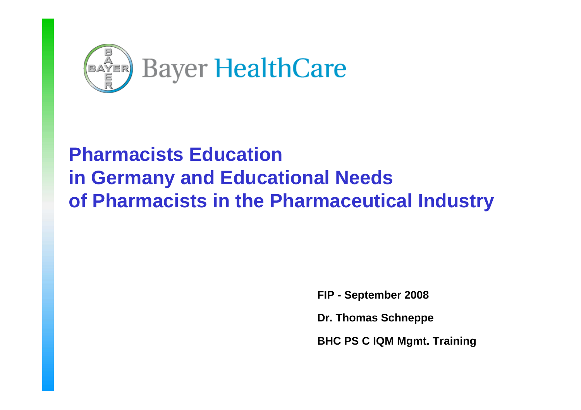

# **Pharmacists Educationin Germany and Educational Needs of Pharmacists in the Pharmaceutical Industry**

**FIP - September 2008**

**Dr. Thomas Schneppe**

**BHC PS C IQM Mgmt. Training**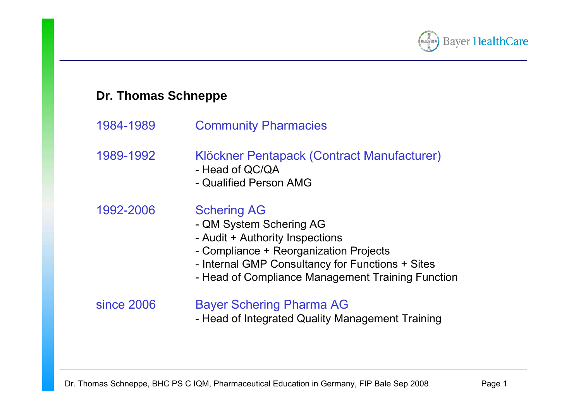

## **Dr. Thomas Schneppe**

- 1984-1989 Community Pharmacies
- 1989-1992 Klöckner Pentapack (Contract Manufacturer)
	- Head of QC/QA
	- Qualified Person AMG

1992-2006 Schering AG

- QM System Schering AG
- Audit + Authority Inspections
- Compliance + Reorganization Projects
- Internal GMP Consultancy for Functions + Sites
- Head of Compliance Management Training Function

#### since 2006 Bayer Schering Pharma AG

- Head of Integrated Quality Management Training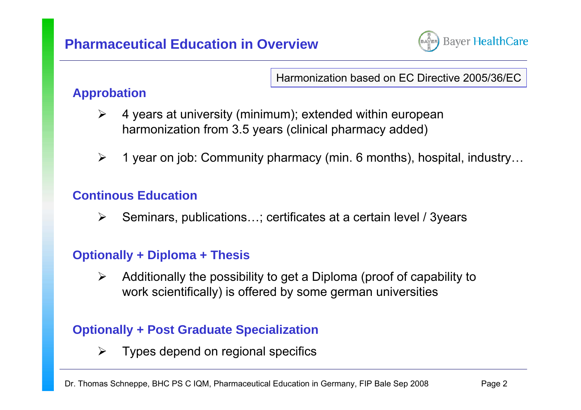

Harmonization based on EC Directive 2005/36/EC

## **Approbation**

- $\blacktriangleright$  4 years at university (minimum); extended within european harmonization from 3.5 years (clinical pharmacy added)
- $\blacktriangleright$ 1 year on job: Community pharmacy (min. 6 months), hospital, industry…

## **Continous Education**

 $\blacktriangleright$ Seminars, publications…; certificates at a certain level / 3years

## **Optionally + Diploma + Thesis**

 $\blacktriangleright$  Additionally the possibility to get a Diploma (proof of capability to work scientifically) is offered by some german universities

## **Optionally + Post Graduate Specialization**

 $\blacktriangleright$ Types depend on regional specifics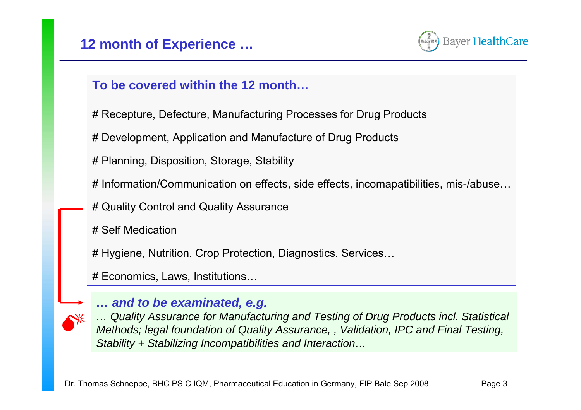

## **To be covered within the 12 month…**

- # Recepture, Defecture, Manufacturing Processes for Drug Products
- # Development, Application and Manufacture of Drug Products
- # Planning, Disposition, Storage, Stability
- # Information/Communication on effects, side effects, incomapatibilities, mis-/abuse…
- # Quality Control and Quality Assurance
- # Self Medication

# Hygiene, Nutrition, Crop Protection, Diagnostics, Services…

# Economics, Laws, Institutions…



## *… and to be examinated, e.g.*

*… Quality Assurance for Manufacturing and Testing of Drug Products incl. Statistical Methods; legal foundation of Quality Assurance, , Validation, IPC and Final Testing, Stability + Stabilizing Incompatibilities and Interaction…*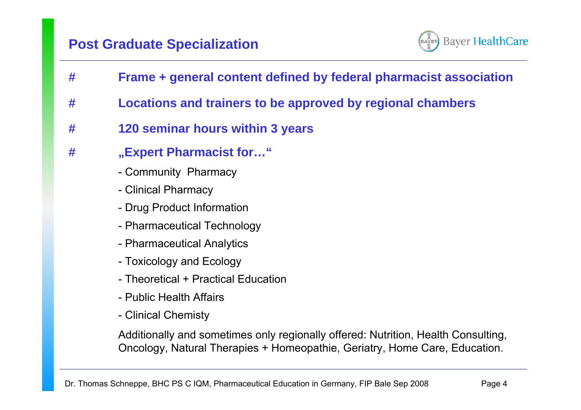

- **# Frame + general content defined by federal pharmacist association**
- **# Locations and trainers to be approved by regional chambers**
- **# 120 seminar hours within 3 years**
- **# "Expert Pharmacist for…"**
	- Community Pharmacy
	- Clinical Pharmacy
	- Drug Product Information
	- Pharmaceutical Technology
	- Pharmaceutical Analytics
	- Toxicology and Ecology
	- Theoretical + Practical Education
	- Public Health Affairs
	- Clinical Chemisty

Additionally and sometimes only regionally offered: Nutrition, Health Consulting, Oncology, Natural Therapies + Homeopathie, Geriatry, Home Care, Education.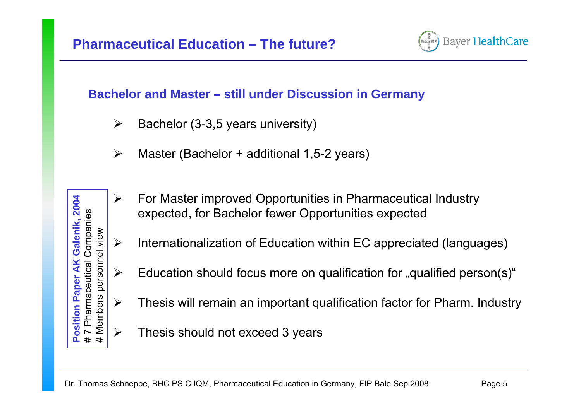

## **Bachelor and Master – still under Discussion in Germany**

- $\blacktriangleright$ Bachelor (3-3,5 years university)
- ¾Master (Bachelor + additional 1,5-2 years)
- $\blacktriangleright$  For Master improved Opportunities in Pharmaceutical Industry expected, for Bachelor fewer Opportunities expected
- $\blacktriangleright$ Internationalization of Education within EC appreciated (languages)
- $\blacktriangleright$ Education should focus more on qualification for "qualified person(s)"
	- Thesis will remain an important qualification factor for Pharm. Industry
	- Thesis should not exceed 3 years

 $\blacktriangleright$ 

# Members personnel view

**Members** 

personnel view

**Position Paper AK Galenik, 2004** # 7 Pharmaceutical Companies

sition

2004

Companies Galenik,

Pharmaceutical

 $\blacktriangleright$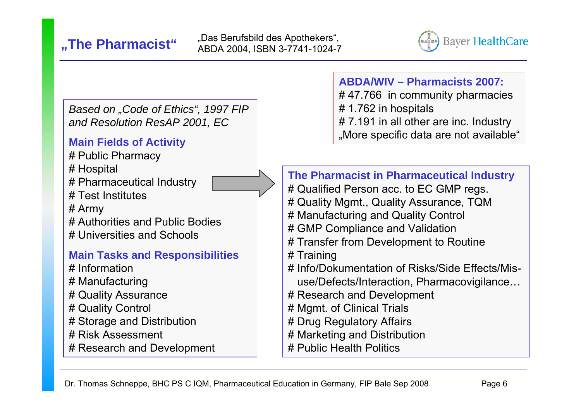

*Based on "Code of Ethics", 1997 FIP and Resolution ResAP 2001, EC*

#### **Main Fields of Activity**

- # Public Pharmacy
- # Hospital
- # Pharmaceutical Industry
- # Test Institutes
- # Army
- # Authorities and Public Bodies
- # Universities and Schools

### **Main Tasks and Responsibilities**

- # Information
- # Manufacturing
- # Quality Assurance
- # Quality Control
- # Storage and Distribution
- # Risk Assessment
- # Research and Development

## **ABDA/WIV – Pharmacists 2007:**

- # 47.766 in community pharmacies
- # 1.762 in hospitals
- # 7.191 in all other are inc. Industry "More specific data are not available"

**The Pharmacist in Pharmaceutical Industry** # Qualified Person acc. to EC GMP regs. # Quality Mgmt., Quality Assurance, TQM # Manufacturing and Quality Control # GMP Compliance and Validation # Transfer from Development to Routine # Training # Info/Dokumentation of Risks/Side Effects/Misuse/Defects/Interaction, Pharmacovigilance… # Research and Development # Mgmt. of Clinical Trials # Drug Regulatory Affairs # Marketing and Distribution

# Public Health Politics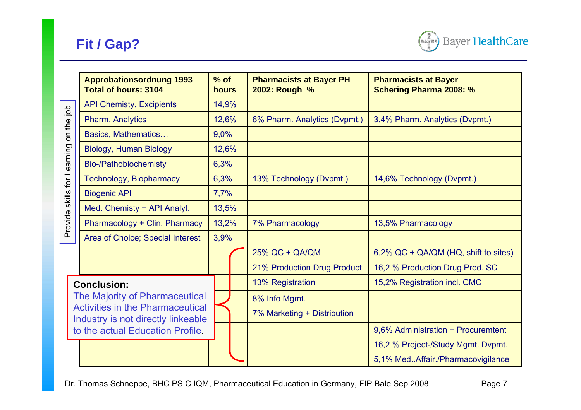

|                             | <b>Approbationsordnung 1993</b><br>$%$ of<br><b>Total of hours: 3104</b>                                                                                                  |       | hours | <b>Pharmacists at Bayer PH</b><br>2002: Rough % | <b>Pharmacists at Bayer</b><br><b>Schering Pharma 2008: %</b> |  |  |
|-----------------------------|---------------------------------------------------------------------------------------------------------------------------------------------------------------------------|-------|-------|-------------------------------------------------|---------------------------------------------------------------|--|--|
| on the job                  | <b>API Chemisty, Excipients</b>                                                                                                                                           |       | 14,9% |                                                 |                                                               |  |  |
|                             | <b>Pharm. Analytics</b>                                                                                                                                                   |       | 12,6% | 6% Pharm. Analytics (Dvpmt.)                    | 3,4% Pharm. Analytics (Dvpmt.)                                |  |  |
|                             | Basics, Mathematics                                                                                                                                                       | 9,0%  |       |                                                 |                                                               |  |  |
|                             | <b>Biology, Human Biology</b>                                                                                                                                             | 12,6% |       |                                                 |                                                               |  |  |
|                             | <b>Bio-/Pathobiochemisty</b>                                                                                                                                              | 6,3%  |       |                                                 |                                                               |  |  |
| Provide skills for Learning | <b>Technology, Biopharmacy</b>                                                                                                                                            | 6,3%  |       | 13% Technology (Dvpmt.)                         | 14,6% Technology (Dvpmt.)                                     |  |  |
|                             | <b>Biogenic API</b>                                                                                                                                                       | 7,7%  |       |                                                 |                                                               |  |  |
|                             | Med. Chemisty + API Analyt.                                                                                                                                               | 13,5% |       |                                                 |                                                               |  |  |
|                             | Pharmacology + Clin. Pharmacy                                                                                                                                             | 13,2% |       | 7% Pharmacology                                 | 13,5% Pharmacology                                            |  |  |
|                             | Area of Choice; Special Interest                                                                                                                                          | 3,9%  |       |                                                 |                                                               |  |  |
|                             |                                                                                                                                                                           |       |       | 25% QC + QA/QM                                  | 6,2% QC + QA/QM (HQ, shift to sites)                          |  |  |
|                             |                                                                                                                                                                           |       |       | 21% Production Drug Product                     | 16,2 % Production Drug Prod. SC                               |  |  |
|                             | <b>Conclusion:</b><br>The Majority of Pharmaceutical<br><b>Activities in the Pharmaceutical</b><br>Industry is not directly linkeable<br>to the actual Education Profile. |       |       | 13% Registration                                | 15,2% Registration incl. CMC                                  |  |  |
|                             |                                                                                                                                                                           |       |       | 8% Info Mgmt.                                   |                                                               |  |  |
|                             |                                                                                                                                                                           |       |       | 7% Marketing + Distribution                     |                                                               |  |  |
|                             |                                                                                                                                                                           |       |       |                                                 | 9,6% Administration + Procuremtent                            |  |  |
|                             |                                                                                                                                                                           |       |       |                                                 | 16,2 % Project-/Study Mgmt. Dvpmt.                            |  |  |
|                             |                                                                                                                                                                           |       |       |                                                 | 5,1% MedAffair./Pharmacovigilance                             |  |  |

Dr. Thomas Schneppe, BHC PS C IQM, Pharmaceutical Education in Germany, FIP Bale Sep 2008 Page 7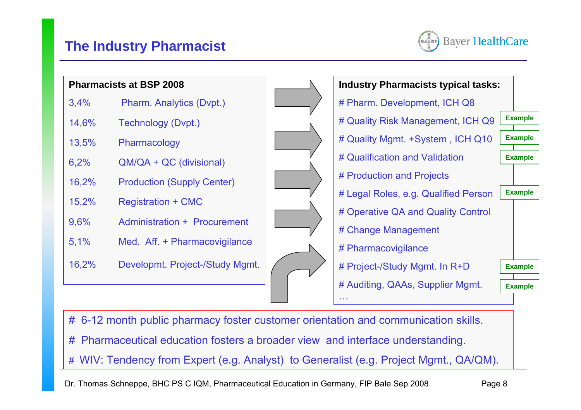## **The Industry Pharmacist**



|       | <b>Pharmacists at BSP 2008</b>    |  | <b>Industry Pharmacists typical tasks:</b> |                |                |
|-------|-----------------------------------|--|--------------------------------------------|----------------|----------------|
| 3,4%  | Pharm. Analytics (Dvpt.)          |  | # Pharm. Development, ICH Q8               |                |                |
| 14,6% | Technology (Dvpt.)                |  | # Quality Risk Management, ICH Q9          | <b>Example</b> |                |
| 13,5% | Pharmacology                      |  | # Quality Mgmt. +System, ICH Q10           |                | <b>Example</b> |
| 6,2%  | $QM/QA + QC$ (divisional)         |  | # Qualification and Validation             | <b>Example</b> |                |
| 16,2% | <b>Production (Supply Center)</b> |  | # Production and Projects                  |                |                |
| 15,2% |                                   |  | # Legal Roles, e.g. Qualified Person       | <b>Example</b> |                |
|       | <b>Registration + CMC</b>         |  | # Operative QA and Quality Control         |                |                |
| 9,6%  | Administration + Procurement      |  | # Change Management                        |                |                |
| 5,1%  | Med. Aff. + Pharmacovigilance     |  | # Pharmacovigilance                        |                |                |
| 16,2% | Developmt. Project-/Study Mgmt.   |  | # Project-/Study Mgmt. In R+D              | <b>Example</b> |                |
|       |                                   |  | # Auditing, QAAs, Supplier Mgmt.           | <b>Example</b> |                |
|       |                                   |  | <b>ALC UN</b>                              |                |                |

- # 6-12 month public pharmacy foster customer orientation and communication skills.
- # Pharmaceutical education fosters a broader view and interface understanding.
- # WIV: Tendency from Expert (e.g. Analyst) to Generalist (e.g. Project Mgmt., QA/QM).

Dr. Thomas Schneppe, BHC PS C IQM, Pharmaceutical Education in Germany, FIP Bale Sep 2008 Page 8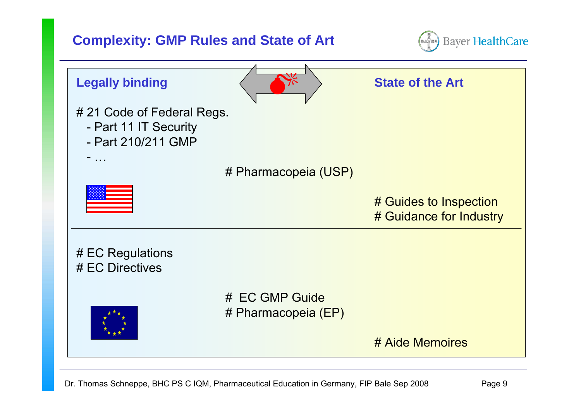## **Complexity: GMP Rules and State of Art**



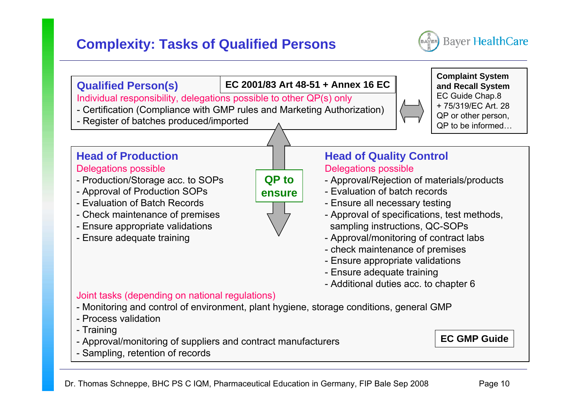## **Complexity: Tasks of Qualified Persons**



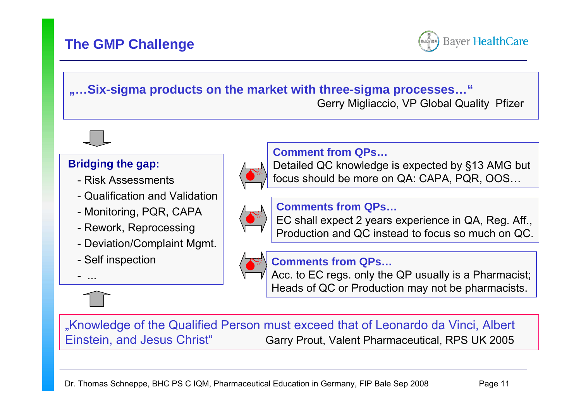## **The GMP Challenge**



#### **"…Six-sigma products on the market with three-sigma processes…"**

Gerry Migliaccio, VP Global Quality Pfizer



#### **Bridging the gap:**

- Risk Assessments
- Qualification and Validation
- Monitoring, PQR, CAPA
- Rework, Reprocessing
- Deviation/Complaint Mgmt.
- Self inspection

...



#### **Comment from QPs…**

Detailed QC knowledge is expected by §13 AMG but focus should be more on QA: CAPA, PQR, OOS…



#### **Comments from QPs…**

EC shall expect 2 years experience in QA, Reg. Aff., Production and QC instead to focus so much on QC.



#### **Comments from QPs…**

Acc. to EC regs. only the QP usually is a Pharmacist; Heads of QC or Production may not be pharmacists.

"Knowledge of the Qualified Person must exceed that of Leonardo da Vinci, Albert Einstein, and Jesus Christ" Garry Prout, Valent Pharmaceutical, RPS UK 2005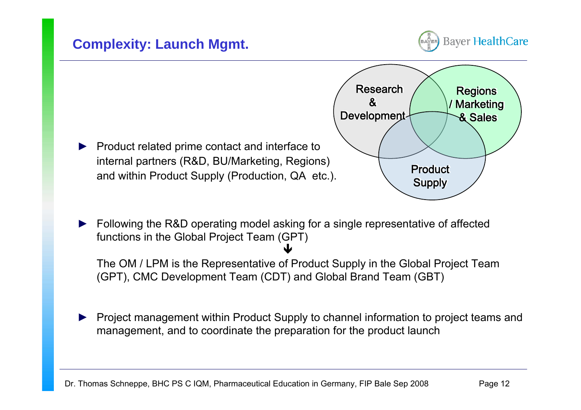



► Following the R&D operating model asking for a single representative of affected functions in the Global Project Team (GPT) Ð

The OM / LPM is the Representative of Product Supply in the Global Project Team (GPT), CMC Development Team (CDT) and Global Brand Team (GBT)

► Project management within Product Supply to channel information to project teams and management, and to coordinate the preparation for the product launch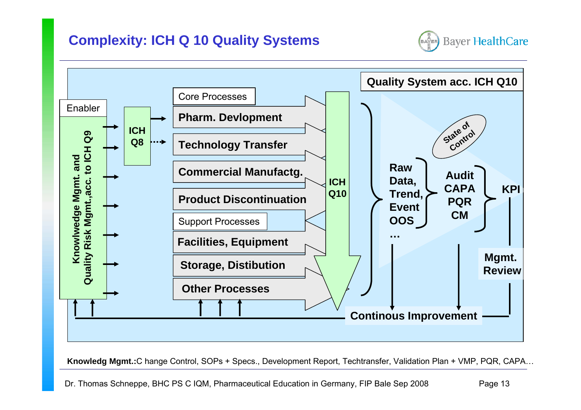## **Complexity: ICH Q 10 Quality Systems**





**Knowledg Mgmt.:**C hange Control, SOPs + Specs., Development Report, Techtransfer, Validation Plan + VMP, PQR, CAPA…

Dr. Thomas Schneppe, BHC PS C IQM, Pharmaceutical Education in Germany, FIP Bale Sep 2008 Page 13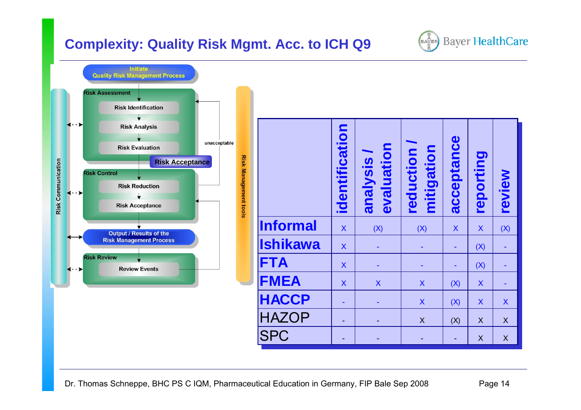## **Complexity: Quality Risk Mgmt. Acc. to ICH Q9**



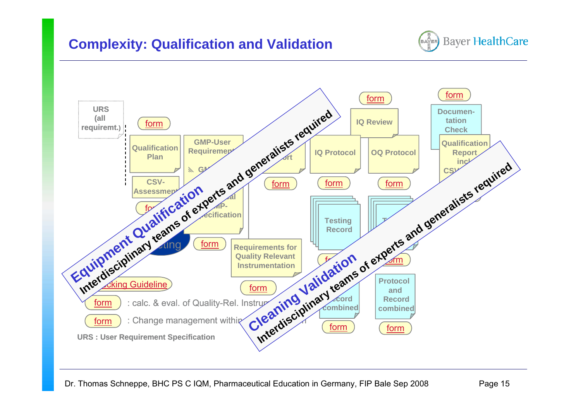![](_page_15_Picture_1.jpeg)

![](_page_15_Figure_2.jpeg)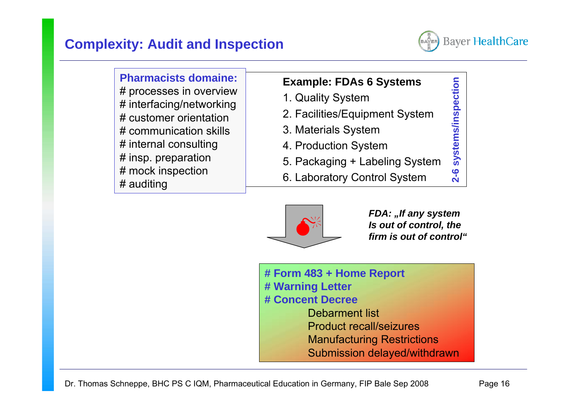![](_page_16_Picture_1.jpeg)

**2-6 systems/inspection**

 $2 - 6$ 

systems/inspection

**Pharmacists domaine:**# processes in overview # interfacing/networking # customer orientation# communication skills# internal consulting # insp. preparation # mock inspection # auditing

## **Example: FDAs 6 Systems**

- 1. Quality System
- 2. Facilities/Equipment System
- 3. Materials System
- 4. Production System
- 5. Packaging + Labeling System
- 6. Laboratory Control System

![](_page_16_Picture_10.jpeg)

*FDA: "If any system Is out of control, the firm is out of control"*

**# Form 483 + Home Report # Warning Letter # Concent Decree**Debarment listProduct recall/seizuresManufacturing Restrictions Submission delayed/withdrawn